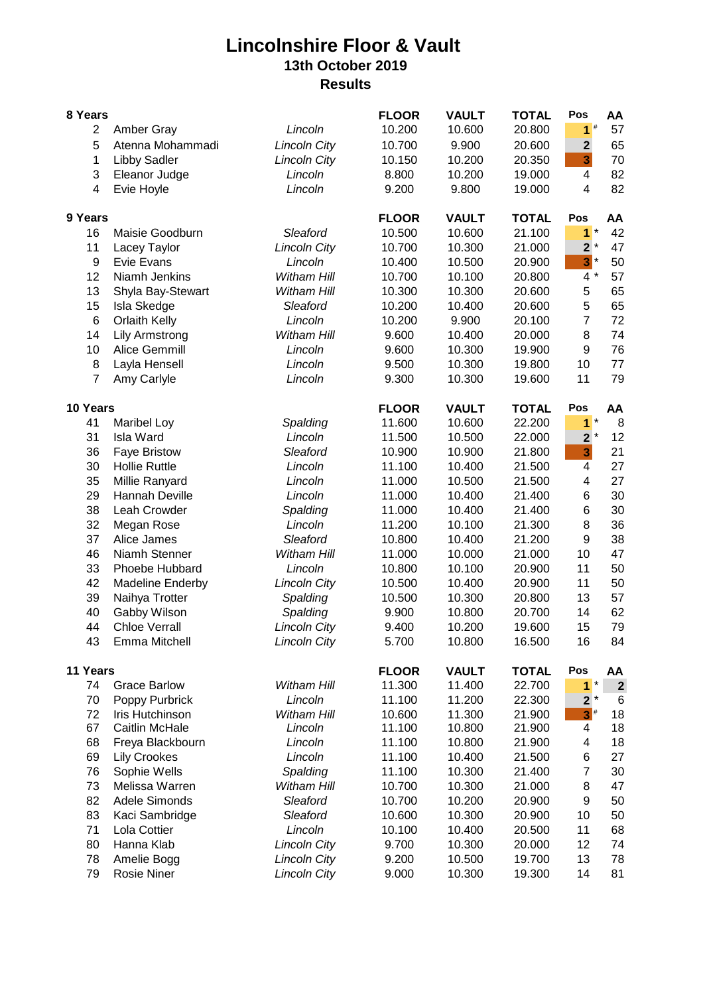## **Lincolnshire Floor & Vault 13th October 2019 Results**

| 8 Years          |                       |                     | <b>FLOOR</b> | <b>VAULT</b> | <b>TOTAL</b> | Pos                     | AA               |
|------------------|-----------------------|---------------------|--------------|--------------|--------------|-------------------------|------------------|
| $\overline{2}$   | Amber Gray            | Lincoln             | 10.200       | 10.600       | 20.800       | 1 <sup>#</sup>          | 57               |
| 5                | Atenna Mohammadi      | <b>Lincoln City</b> | 10.700       | 9.900        | 20.600       | $\overline{2}$          | 65               |
| 1                | <b>Libby Sadler</b>   | <b>Lincoln City</b> | 10.150       | 10.200       | 20.350       | $\overline{\mathbf{3}}$ | 70               |
| 3                | Eleanor Judge         | Lincoln             | 8.800        | 10.200       | 19.000       | 4                       | 82               |
| $\overline{4}$   | Evie Hoyle            | Lincoln             | 9.200        | 9.800        | 19.000       | $\overline{4}$          | 82               |
| 9 Years          |                       |                     | <b>FLOOR</b> | <b>VAULT</b> | <b>TOTAL</b> | Pos                     | AA               |
| 16               | Maisie Goodburn       | Sleaford            | 10.500       | 10.600       | 21.100       | $1*$                    | 42               |
| 11               | Lacey Taylor          | <b>Lincoln City</b> | 10.700       | 10.300       | 21.000       | $2^*$                   | 47               |
| $\boldsymbol{9}$ | Evie Evans            | Lincoln             | 10.400       | 10.500       | 20.900       | $3^*$                   | 50               |
| 12               | Niamh Jenkins         | Witham Hill         | 10.700       | 10.100       | 20.800       | $4 *$                   | 57               |
| 13               | Shyla Bay-Stewart     | Witham Hill         | 10.300       | 10.300       | 20.600       | 5                       | 65               |
| 15               | Isla Skedge           | Sleaford            | 10.200       | 10.400       | 20.600       | 5                       | 65               |
| $6\phantom{1}6$  | <b>Orlaith Kelly</b>  | Lincoln             | 10.200       | 9.900        | 20.100       | $\overline{7}$          | 72               |
| 14               | <b>Lily Armstrong</b> | Witham Hill         | 9.600        | 10.400       | 20.000       | 8                       | 74               |
| 10               | Alice Gemmill         | Lincoln             | 9.600        | 10.300       | 19.900       | 9                       | 76               |
| 8                | Layla Hensell         | Lincoln             | 9.500        | 10.300       | 19.800       | 10                      | 77               |
| $\overline{7}$   | Amy Carlyle           | Lincoln             | 9.300        | 10.300       | 19.600       | 11                      | 79               |
| 10 Years         |                       |                     | <b>FLOOR</b> | <b>VAULT</b> | <b>TOTAL</b> | Pos                     | AA               |
| 41               | <b>Maribel Loy</b>    | Spalding            | 11.600       | 10.600       | 22.200       | $1*$                    | 8                |
| 31               | Isla Ward             | Lincoln             | 11.500       | 10.500       | 22.000       | $2^*$                   | 12               |
| 36               | <b>Faye Bristow</b>   | Sleaford            | 10.900       | 10.900       | 21.800       | $\overline{\mathbf{3}}$ | 21               |
| 30               | <b>Hollie Ruttle</b>  | Lincoln             | 11.100       | 10.400       | 21.500       | $\overline{\mathbf{4}}$ | 27               |
| 35               | Millie Ranyard        | Lincoln             | 11.000       | 10.500       | 21.500       | 4                       | 27               |
| 29               | Hannah Deville        | Lincoln             | 11.000       | 10.400       | 21.400       | 6                       | 30               |
| 38               | Leah Crowder          | Spalding            | 11.000       | 10.400       | 21.400       | 6                       | 30               |
| 32               | Megan Rose            | Lincoln             | 11.200       | 10.100       | 21.300       | 8                       | 36               |
| 37               | Alice James           | Sleaford            | 10.800       | 10.400       | 21.200       | $9\,$                   | 38               |
| 46               | Niamh Stenner         | Witham Hill         | 11.000       | 10.000       | 21.000       | 10                      | 47               |
| 33               | Phoebe Hubbard        | Lincoln             | 10.800       | 10.100       | 20.900       | 11                      | 50               |
| 42               | Madeline Enderby      | <b>Lincoln City</b> | 10.500       | 10.400       | 20.900       | 11                      | 50               |
| 39               | Naihya Trotter        | Spalding            | 10.500       | 10.300       | 20.800       | 13                      | 57               |
| 40               | Gabby Wilson          | Spalding            | 9.900        | 10.800       | 20.700       | 14                      | 62               |
| 44               | <b>Chloe Verrall</b>  | <b>Lincoln City</b> | 9.400        | 10.200       | 19.600       | 15                      | 79               |
| 43               | Emma Mitchell         | <b>Lincoln City</b> | 5.700        | 10.800       | 16.500       | 16                      | 84               |
| 11 Years         |                       | <b>FLOOR</b>        | <b>VAULT</b> | <b>TOTAL</b> | Pos          | AA                      |                  |
| 74               | <b>Grace Barlow</b>   | Witham Hill         | 11.300       | 11.400       | 22.700       | $1*$                    | $\boldsymbol{2}$ |
| 70               | Poppy Purbrick        | Lincoln             | 11.100       | 11.200       | 22.300       | $2^*$                   | 6                |
| 72               | Iris Hutchinson       | Witham Hill         | 10.600       | 11.300       | 21.900       | $3^{\#}$                | 18               |
| 67               | Caitlin McHale        | Lincoln             | 11.100       | 10.800       | 21.900       | 4                       | 18               |
| 68               | Freya Blackbourn      | Lincoln             | 11.100       | 10.800       | 21.900       | 4                       | 18               |
| 69               | <b>Lily Crookes</b>   | Lincoln             | 11.100       | 10.400       | 21.500       | 6                       | 27               |
| 76               | Sophie Wells          | Spalding            | 11.100       | 10.300       | 21.400       | $\overline{7}$          | 30               |
| 73               | Melissa Warren        | Witham Hill         | 10.700       | 10.300       | 21.000       | 8                       | 47               |
| 82               | Adele Simonds         | Sleaford            | 10.700       | 10.200       | 20.900       | $\boldsymbol{9}$        | 50               |
| 83               | Kaci Sambridge        | Sleaford            | 10.600       | 10.300       | 20.900       | 10                      | 50               |
| 71               | Lola Cottier          | Lincoln             | 10.100       | 10.400       | 20.500       | 11                      | 68               |
| 80               | Hanna Klab            | <b>Lincoln City</b> | 9.700        | 10.300       | 20.000       | 12                      | 74               |
| 78               | Amelie Bogg           | <b>Lincoln City</b> | 9.200        | 10.500       | 19.700       | 13                      | 78               |
| 79               | <b>Rosie Niner</b>    | <b>Lincoln City</b> | 9.000        | 10.300       | 19.300       | 14                      | 81               |